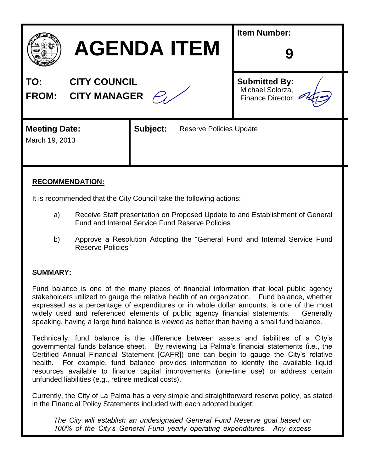

# **RECOMMENDATION:**

It is recommended that the City Council take the following actions:

- a) Receive Staff presentation on Proposed Update to and Establishment of General Fund and Internal Service Fund Reserve Policies
- b) Approve a Resolution Adopting the "General Fund and Internal Service Fund Reserve Policies"

#### **SUMMARY:**

Fund balance is one of the many pieces of financial information that local public agency stakeholders utilized to gauge the relative health of an organization. Fund balance, whether expressed as a percentage of expenditures or in whole dollar amounts, is one of the most widely used and referenced elements of public agency financial statements. Generally speaking, having a large fund balance is viewed as better than having a small fund balance.

Technically, fund balance is the difference between assets and liabilities of a City's governmental funds balance sheet. By reviewing La Palma's financial statements (i.e., the Certified Annual Financial Statement [CAFR]) one can begin to gauge the City's relative health. For example, fund balance provides information to identify the available liquid resources available to finance capital improvements (one-time use) or address certain unfunded liabilities (e.g., retiree medical costs).

Currently, the City of La Palma has a very simple and straightforward reserve policy, as stated in the Financial Policy Statements included with each adopted budget:

*The City will establish an undesignated General Fund Reserve goal based on 100% of the City's General Fund yearly operating expenditures. Any excess*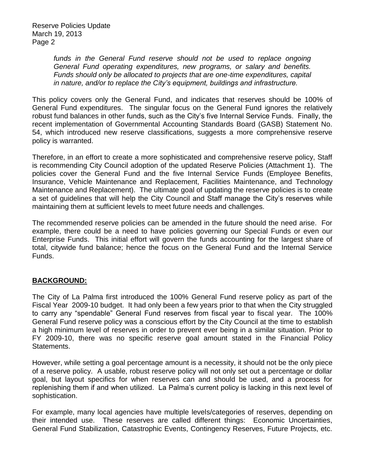> funds in the General Fund reserve should not be used to replace ongoing *General Fund operating expenditures, new programs, or salary and benefits. Funds should only be allocated to projects that are one-time expenditures, capital in nature, and/or to replace the City's equipment, buildings and infrastructure.*

This policy covers only the General Fund, and indicates that reserves should be 100% of General Fund expenditures. The singular focus on the General Fund ignores the relatively robust fund balances in other funds, such as the City's five Internal Service Funds. Finally, the recent implementation of Governmental Accounting Standards Board (GASB) Statement No. 54, which introduced new reserve classifications, suggests a more comprehensive reserve policy is warranted.

Therefore, in an effort to create a more sophisticated and comprehensive reserve policy, Staff is recommending City Council adoption of the updated Reserve Policies (Attachment 1). The policies cover the General Fund and the five Internal Service Funds (Employee Benefits, Insurance, Vehicle Maintenance and Replacement, Facilities Maintenance, and Technology Maintenance and Replacement). The ultimate goal of updating the reserve policies is to create a set of guidelines that will help the City Council and Staff manage the City's reserves while maintaining them at sufficient levels to meet future needs and challenges.

The recommended reserve policies can be amended in the future should the need arise. For example, there could be a need to have policies governing our Special Funds or even our Enterprise Funds. This initial effort will govern the funds accounting for the largest share of total, citywide fund balance; hence the focus on the General Fund and the Internal Service Funds.

#### **BACKGROUND:**

The City of La Palma first introduced the 100% General Fund reserve policy as part of the Fiscal Year 2009-10 budget. It had only been a few years prior to that when the City struggled to carry any "spendable" General Fund reserves from fiscal year to fiscal year. The 100% General Fund reserve policy was a conscious effort by the City Council at the time to establish a high minimum level of reserves in order to prevent ever being in a similar situation. Prior to FY 2009-10, there was no specific reserve goal amount stated in the Financial Policy Statements.

However, while setting a goal percentage amount is a necessity, it should not be the only piece of a reserve policy. A usable, robust reserve policy will not only set out a percentage or dollar goal, but layout specifics for when reserves can and should be used, and a process for replenishing them if and when utilized. La Palma's current policy is lacking in this next level of sophistication.

For example, many local agencies have multiple levels/categories of reserves, depending on their intended use. These reserves are called different things: Economic Uncertainties, General Fund Stabilization, Catastrophic Events, Contingency Reserves, Future Projects, etc.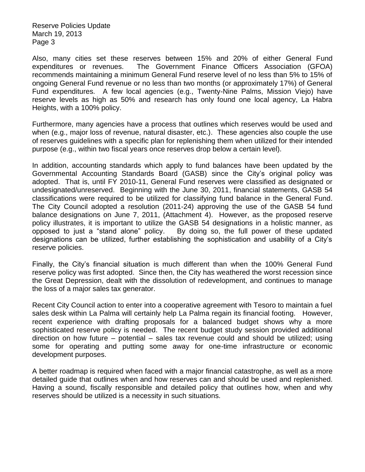Also, many cities set these reserves between 15% and 20% of either General Fund expenditures or revenues. The Government Finance Officers Association (GFOA) recommends maintaining a minimum General Fund reserve level of no less than 5% to 15% of ongoing General Fund revenue or no less than two months (or approximately 17%) of General Fund expenditures. A few local agencies (e.g., Twenty-Nine Palms, Mission Viejo) have reserve levels as high as 50% and research has only found one local agency, La Habra Heights, with a 100% policy.

Furthermore, many agencies have a process that outlines which reserves would be used and when (e.g., major loss of revenue, natural disaster, etc.). These agencies also couple the use of reserves guidelines with a specific plan for replenishing them when utilized for their intended purpose (e.g., within two fiscal years once reserves drop below a certain level).

In addition, accounting standards which apply to fund balances have been updated by the Governmental Accounting Standards Board (GASB) since the City's original policy was adopted. That is, until FY 2010-11, General Fund reserves were classified as designated or undesignated/unreserved. Beginning with the June 30, 2011, financial statements, GASB 54 classifications were required to be utilized for classifying fund balance in the General Fund. The City Council adopted a resolution (2011-24) approving the use of the GASB 54 fund balance designations on June 7, 2011, (Attachment 4). However, as the proposed reserve policy illustrates, it is important to utilize the GASB 54 designations in a holistic manner, as opposed to just a "stand alone" policy. By doing so, the full power of these updated designations can be utilized, further establishing the sophistication and usability of a City's reserve policies.

Finally, the City's financial situation is much different than when the 100% General Fund reserve policy was first adopted. Since then, the City has weathered the worst recession since the Great Depression, dealt with the dissolution of redevelopment, and continues to manage the loss of a major sales tax generator.

Recent City Council action to enter into a cooperative agreement with Tesoro to maintain a fuel sales desk within La Palma will certainly help La Palma regain its financial footing. However, recent experience with drafting proposals for a balanced budget shows why a more sophisticated reserve policy is needed. The recent budget study session provided additional direction on how future – potential – sales tax revenue could and should be utilized; using some for operating and putting some away for one-time infrastructure or economic development purposes.

A better roadmap is required when faced with a major financial catastrophe, as well as a more detailed guide that outlines when and how reserves can and should be used and replenished. Having a sound, fiscally responsible and detailed policy that outlines how, when and why reserves should be utilized is a necessity in such situations.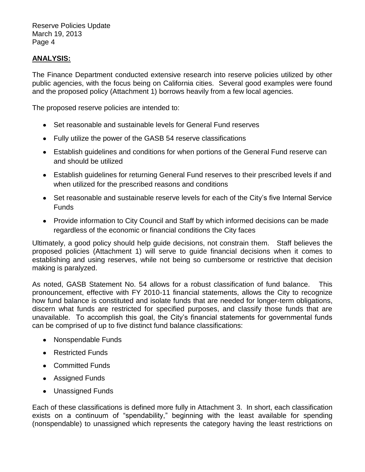#### **ANALYSIS:**

The Finance Department conducted extensive research into reserve policies utilized by other public agencies, with the focus being on California cities. Several good examples were found and the proposed policy (Attachment 1) borrows heavily from a few local agencies.

The proposed reserve policies are intended to:

- Set reasonable and sustainable levels for General Fund reserves
- Fully utilize the power of the GASB 54 reserve classifications
- Establish guidelines and conditions for when portions of the General Fund reserve can and should be utilized
- Establish guidelines for returning General Fund reserves to their prescribed levels if and when utilized for the prescribed reasons and conditions
- Set reasonable and sustainable reserve levels for each of the City's five Internal Service Funds
- Provide information to City Council and Staff by which informed decisions can be made regardless of the economic or financial conditions the City faces

Ultimately, a good policy should help guide decisions, not constrain them. Staff believes the proposed policies (Attachment 1) will serve to guide financial decisions when it comes to establishing and using reserves, while not being so cumbersome or restrictive that decision making is paralyzed.

As noted, GASB Statement No. 54 allows for a robust classification of fund balance. This pronouncement, effective with FY 2010-11 financial statements, allows the City to recognize how fund balance is constituted and isolate funds that are needed for longer-term obligations, discern what funds are restricted for specified purposes, and classify those funds that are unavailable. To accomplish this goal, the City's financial statements for governmental funds can be comprised of up to five distinct fund balance classifications:

- Nonspendable Funds
- Restricted Funds
- Committed Funds
- Assigned Funds
- Unassigned Funds

Each of these classifications is defined more fully in Attachment 3. In short, each classification exists on a continuum of "spendability," beginning with the least available for spending (nonspendable) to unassigned which represents the category having the least restrictions on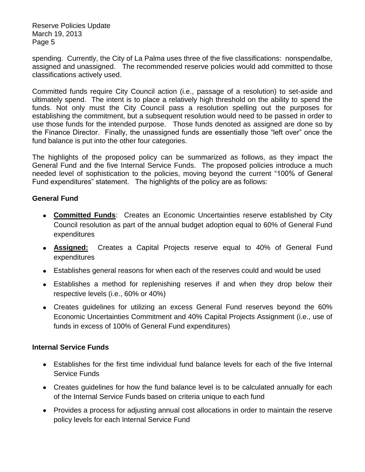spending. Currently, the City of La Palma uses three of the five classifications: nonspendalbe, assigned and unassigned. The recommended reserve policies would add committed to those classifications actively used.

Committed funds require City Council action (i.e., passage of a resolution) to set-aside and ultimately spend. The intent is to place a relatively high threshold on the ability to spend the funds. Not only must the City Council pass a resolution spelling out the purposes for establishing the commitment, but a subsequent resolution would need to be passed in order to use those funds for the intended purpose. Those funds denoted as assigned are done so by the Finance Director. Finally, the unassigned funds are essentially those "left over" once the fund balance is put into the other four categories.

The highlights of the proposed policy can be summarized as follows, as they impact the General Fund and the five Internal Service Funds. The proposed policies introduce a much needed level of sophistication to the policies, moving beyond the current "100% of General Fund expenditures" statement. The highlights of the policy are as follows:

#### **General Fund**

- **Committed Funds**: Creates an Economic Uncertainties reserve established by City Council resolution as part of the annual budget adoption equal to 60% of General Fund expenditures
- **Assigned:** Creates a Capital Projects reserve equal to 40% of General Fund expenditures
- Establishes general reasons for when each of the reserves could and would be used
- Establishes a method for replenishing reserves if and when they drop below their respective levels (i.e., 60% or 40%)
- Creates guidelines for utilizing an excess General Fund reserves beyond the 60% Economic Uncertainties Commitment and 40% Capital Projects Assignment (i.e., use of funds in excess of 100% of General Fund expenditures)

#### **Internal Service Funds**

- Establishes for the first time individual fund balance levels for each of the five Internal Service Funds
- Creates guidelines for how the fund balance level is to be calculated annually for each of the Internal Service Funds based on criteria unique to each fund
- Provides a process for adjusting annual cost allocations in order to maintain the reserve policy levels for each Internal Service Fund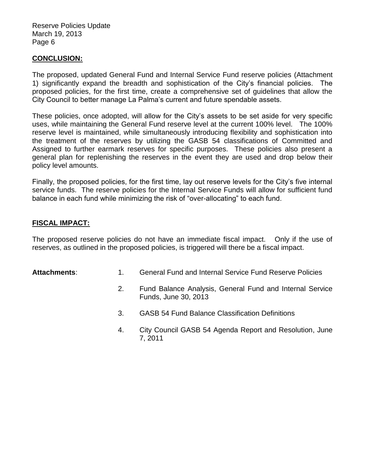#### **CONCLUSION:**

The proposed, updated General Fund and Internal Service Fund reserve policies (Attachment 1) significantly expand the breadth and sophistication of the City's financial policies. The proposed policies, for the first time, create a comprehensive set of guidelines that allow the City Council to better manage La Palma's current and future spendable assets.

These policies, once adopted, will allow for the City's assets to be set aside for very specific uses, while maintaining the General Fund reserve level at the current 100% level. The 100% reserve level is maintained, while simultaneously introducing flexibility and sophistication into the treatment of the reserves by utilizing the GASB 54 classifications of Committed and Assigned to further earmark reserves for specific purposes. These policies also present a general plan for replenishing the reserves in the event they are used and drop below their policy level amounts.

Finally, the proposed policies, for the first time, lay out reserve levels for the City's five internal service funds. The reserve policies for the Internal Service Funds will allow for sufficient fund balance in each fund while minimizing the risk of "over-allocating" to each fund.

#### **FISCAL IMPACT:**

The proposed reserve policies do not have an immediate fiscal impact. Only if the use of reserves, as outlined in the proposed policies, is triggered will there be a fiscal impact.

- **Attachments**: 1. General Fund and Internal Service Fund Reserve Policies
	- 2. Fund Balance Analysis, General Fund and Internal Service Funds, June 30, 2013
	- 3. GASB 54 Fund Balance Classification Definitions
	- 4. City Council GASB 54 Agenda Report and Resolution, June 7, 2011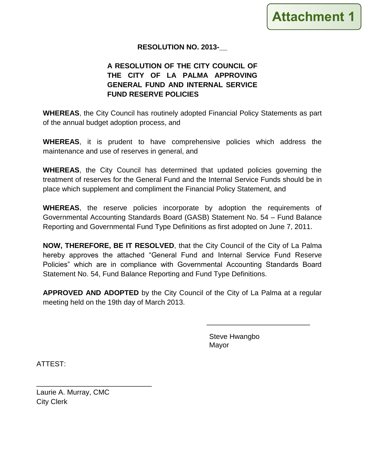

#### **RESOLUTION NO. 2013-\_\_**

# **A RESOLUTION OF THE CITY COUNCIL OF THE CITY OF LA PALMA APPROVING GENERAL FUND AND INTERNAL SERVICE FUND RESERVE POLICIES**

**WHEREAS**, the City Council has routinely adopted Financial Policy Statements as part of the annual budget adoption process, and

**WHEREAS**, it is prudent to have comprehensive policies which address the maintenance and use of reserves in general, and

**WHEREAS**, the City Council has determined that updated policies governing the treatment of reserves for the General Fund and the Internal Service Funds should be in place which supplement and compliment the Financial Policy Statement, and

**WHEREAS**, the reserve policies incorporate by adoption the requirements of Governmental Accounting Standards Board (GASB) Statement No. 54 – Fund Balance Reporting and Governmental Fund Type Definitions as first adopted on June 7, 2011.

**NOW, THEREFORE, BE IT RESOLVED**, that the City Council of the City of La Palma hereby approves the attached "General Fund and Internal Service Fund Reserve Policies" which are in compliance with Governmental Accounting Standards Board Statement No. 54, Fund Balance Reporting and Fund Type Definitions.

**APPROVED AND ADOPTED** by the City Council of the City of La Palma at a regular meeting held on the 19th day of March 2013.

> Steve Hwangbo Mayor

\_\_\_\_\_\_\_\_\_\_\_\_\_\_\_\_\_\_\_\_\_\_\_\_\_\_

ATTEST:

Laurie A. Murray, CMC City Clerk

\_\_\_\_\_\_\_\_\_\_\_\_\_\_\_\_\_\_\_\_\_\_\_\_\_\_\_\_\_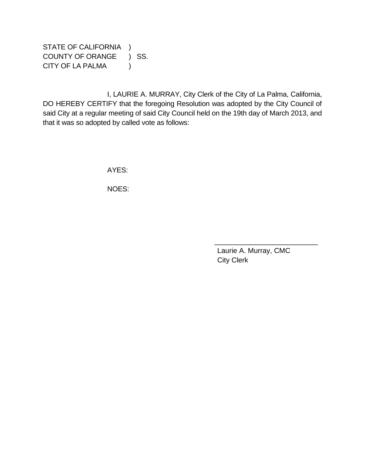STATE OF CALIFORNIA ) COUNTY OF ORANGE ) SS. CITY OF LA PALMA (1)

I, LAURIE A. MURRAY, City Clerk of the City of La Palma, California, DO HEREBY CERTIFY that the foregoing Resolution was adopted by the City Council of said City at a regular meeting of said City Council held on the 19th day of March 2013, and that it was so adopted by called vote as follows:

AYES:

NOES:

Laurie A. Murray, CMC City Clerk

\_\_\_\_\_\_\_\_\_\_\_\_\_\_\_\_\_\_\_\_\_\_\_\_\_\_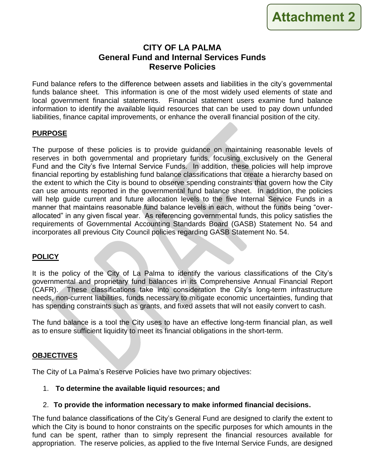# **CITY OF LA PALMA General Fund and Internal Services Funds Reserve Policies**

Fund balance refers to the difference between assets and liabilities in the city's governmental funds balance sheet. This information is one of the most widely used elements of state and local government financial statements. Financial statement users examine fund balance information to identify the available liquid resources that can be used to pay down unfunded liabilities, finance capital improvements, or enhance the overall financial position of the city.

#### **PURPOSE**

The purpose of these policies is to provide guidance on maintaining reasonable levels of reserves in both governmental and proprietary funds, focusing exclusively on the General Fund and the City's five Internal Service Funds. In addition, these policies will help improve financial reporting by establishing fund balance classifications that create a hierarchy based on the extent to which the City is bound to observe spending constraints that govern how the City can use amounts reported in the governmental fund balance sheet. In addition, the policies will help guide current and future allocation levels to the five Internal Service Funds in a manner that maintains reasonable fund balance levels in each, without the funds being "overallocated" in any given fiscal year. As referencing governmental funds, this policy satisfies the requirements of Governmental Accounting Standards Board (GASB) Statement No. 54 and incorporates all previous City Council policies regarding GASB Statement No. 54.

#### **POLICY**

It is the policy of the City of La Palma to identify the various classifications of the City's governmental and proprietary fund balances in its Comprehensive Annual Financial Report (CAFR). These classifications take into consideration the City's long-term infrastructure needs, non-current liabilities, funds necessary to mitigate economic uncertainties, funding that has spending constraints such as grants, and fixed assets that will not easily convert to cash.

The fund balance is a tool the City uses to have an effective long-term financial plan, as well as to ensure sufficient liquidity to meet its financial obligations in the short-term.

#### **OBJECTIVES**

The City of La Palma's Reserve Policies have two primary objectives:

#### 1. **To determine the available liquid resources; and**

#### 2. **To provide the information necessary to make informed financial decisions.**

The fund balance classifications of the City's General Fund are designed to clarify the extent to which the City is bound to honor constraints on the specific purposes for which amounts in the fund can be spent, rather than to simply represent the financial resources available for appropriation. The reserve policies, as applied to the five Internal Service Funds, are designed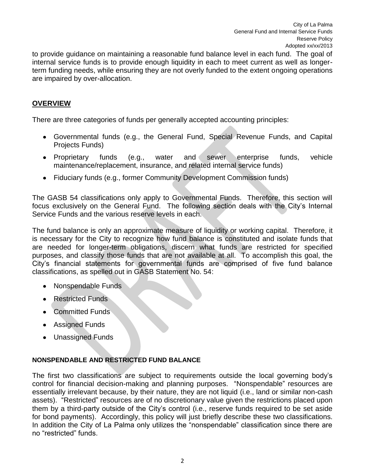to provide guidance on maintaining a reasonable fund balance level in each fund. The goal of internal service funds is to provide enough liquidity in each to meet current as well as longerterm funding needs, while ensuring they are not overly funded to the extent ongoing operations are impaired by over-allocation.

#### **OVERVIEW**

There are three categories of funds per generally accepted accounting principles:

- Governmental funds (e.g., the General Fund, Special Revenue Funds, and Capital Projects Funds)
- Proprietary funds (e.g., water and sewer enterprise funds, vehicle maintenance/replacement, insurance, and related internal service funds)
- Fiduciary funds (e.g., former Community Development Commission funds)

The GASB 54 classifications only apply to Governmental Funds. Therefore, this section will focus exclusively on the General Fund. The following section deals with the City's Internal Service Funds and the various reserve levels in each.

The fund balance is only an approximate measure of liquidity or working capital. Therefore, it is necessary for the City to recognize how fund balance is constituted and isolate funds that are needed for longer-term obligations, discern what funds are restricted for specified purposes, and classify those funds that are not available at all. To accomplish this goal, the City's financial statements for governmental funds are comprised of five fund balance classifications, as spelled out in GASB Statement No. 54:

- Nonspendable Funds
- Restricted Funds  $\bullet$
- Committed Funds
- Assigned Funds
- Unassigned Funds

#### **NONSPENDABLE AND RESTRICTED FUND BALANCE**

The first two classifications are subject to requirements outside the local governing body's control for financial decision-making and planning purposes. "Nonspendable" resources are essentially irrelevant because, by their nature, they are not liquid (i.e., land or similar non-cash assets). "Restricted" resources are of no discretionary value given the restrictions placed upon them by a third-party outside of the City's control (i.e., reserve funds required to be set aside for bond payments). Accordingly, this policy will just briefly describe these two classifications. In addition the City of La Palma only utilizes the "nonspendable" classification since there are no "restricted" funds.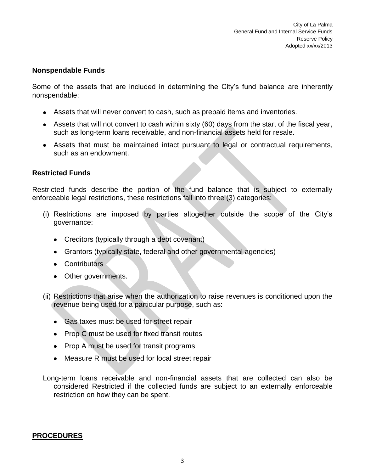#### **Nonspendable Funds**

Some of the assets that are included in determining the City's fund balance are inherently nonspendable:

- Assets that will never convert to cash, such as prepaid items and inventories.
- Assets that will not convert to cash within sixty (60) days from the start of the fiscal year, such as long-term loans receivable, and non-financial assets held for resale.
- Assets that must be maintained intact pursuant to legal or contractual requirements, such as an endowment.

#### **Restricted Funds**

Restricted funds describe the portion of the fund balance that is subject to externally enforceable legal restrictions, these restrictions fall into three (3) categories:

- (i) Restrictions are imposed by parties altogether outside the scope of the City's governance:
	- Creditors (typically through a debt covenant)
	- Grantors (typically state, federal and other governmental agencies)
	- Contributors
	- Other governments.
- (ii) Restrictions that arise when the authorization to raise revenues is conditioned upon the revenue being used for a particular purpose, such as:
	- Gas taxes must be used for street repair
	- Prop C must be used for fixed transit routes
	- Prop A must be used for transit programs
	- Measure R must be used for local street repair

Long-term loans receivable and non-financial assets that are collected can also be considered Restricted if the collected funds are subject to an externally enforceable restriction on how they can be spent.

#### **PROCEDURES**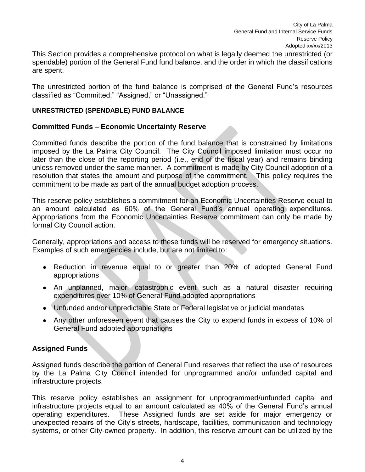This Section provides a comprehensive protocol on what is legally deemed the unrestricted (or spendable) portion of the General Fund fund balance, and the order in which the classifications are spent.

The unrestricted portion of the fund balance is comprised of the General Fund's resources classified as "Committed," "Assigned," or "Unassigned."

#### **UNRESTRICTED (SPENDABLE) FUND BALANCE**

#### **Committed Funds – Economic Uncertainty Reserve**

Committed funds describe the portion of the fund balance that is constrained by limitations imposed by the La Palma City Council. The City Council imposed limitation must occur no later than the close of the reporting period (i.e., end of the fiscal year) and remains binding unless removed under the same manner. A commitment is made by City Council adoption of a resolution that states the amount and purpose of the commitment. This policy requires the commitment to be made as part of the annual budget adoption process.

This reserve policy establishes a commitment for an Economic Uncertainties Reserve equal to an amount calculated as 60% of the General Fund's annual operating expenditures. Appropriations from the Economic Uncertainties Reserve commitment can only be made by formal City Council action.

Generally, appropriations and access to these funds will be reserved for emergency situations. Examples of such emergencies include, but are not limited to:

- Reduction in revenue equal to or greater than 20% of adopted General Fund appropriations
- An unplanned, major, catastrophic event such as a natural disaster requiring expenditures over 10% of General Fund adopted appropriations
- Unfunded and/or unpredictable State or Federal legislative or judicial mandates
- Any other unforeseen event that causes the City to expend funds in excess of 10% of General Fund adopted appropriations

#### **Assigned Funds**

Assigned funds describe the portion of General Fund reserves that reflect the use of resources by the La Palma City Council intended for unprogrammed and/or unfunded capital and infrastructure projects.

This reserve policy establishes an assignment for unprogrammed/unfunded capital and infrastructure projects equal to an amount calculated as 40% of the General Fund's annual operating expenditures. These Assigned funds are set aside for major emergency or unexpected repairs of the City's streets, hardscape, facilities, communication and technology systems, or other City-owned property. In addition, this reserve amount can be utilized by the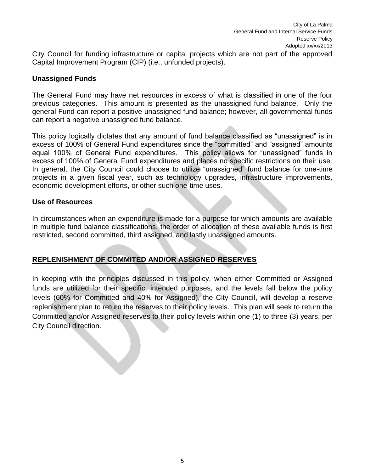City Council for funding infrastructure or capital projects which are not part of the approved Capital Improvement Program (CIP) (i.e., unfunded projects).

#### **Unassigned Funds**

The General Fund may have net resources in excess of what is classified in one of the four previous categories. This amount is presented as the unassigned fund balance. Only the general Fund can report a positive unassigned fund balance; however, all governmental funds can report a negative unassigned fund balance.

This policy logically dictates that any amount of fund balance classified as "unassigned" is in excess of 100% of General Fund expenditures since the "committed" and "assigned" amounts equal 100% of General Fund expenditures. This policy allows for "unassigned" funds in excess of 100% of General Fund expenditures and places no specific restrictions on their use. In general, the City Council could choose to utilize "unassigned" fund balance for one-time projects in a given fiscal year, such as technology upgrades, infrastructure improvements, economic development efforts, or other such one-time uses.

#### **Use of Resources**

In circumstances when an expenditure is made for a purpose for which amounts are available in multiple fund balance classifications, the order of allocation of these available funds is first restricted, second committed, third assigned, and lastly unassigned amounts.

#### **REPLENISHMENT OF COMMITED AND/OR ASSIGNED RESERVES**

In keeping with the principles discussed in this policy, when either Committed or Assigned funds are utilized for their specific, intended purposes, and the levels fall below the policy levels (60% for Committed and 40% for Assigned), the City Council, will develop a reserve replenishment plan to return the reserves to their policy levels. This plan will seek to return the Committed and/or Assigned reserves to their policy levels within one (1) to three (3) years, per City Council direction.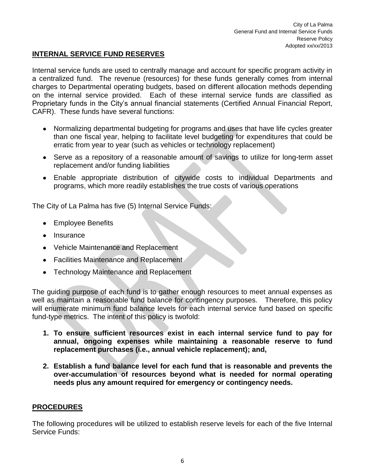# **INTERNAL SERVICE FUND RESERVES**

Internal service funds are used to centrally manage and account for specific program activity in a centralized fund. The revenue (resources) for these funds generally comes from internal charges to Departmental operating budgets, based on different allocation methods depending on the internal service provided. Each of these internal service funds are classified as Proprietary funds in the City's annual financial statements (Certified Annual Financial Report, CAFR). These funds have several functions:

- Normalizing departmental budgeting for programs and uses that have life cycles greater than one fiscal year, helping to facilitate level budgeting for expenditures that could be erratic from year to year (such as vehicles or technology replacement)
- Serve as a repository of a reasonable amount of savings to utilize for long-term asset replacement and/or funding liabilities
- Enable appropriate distribution of citywide costs to individual Departments and programs, which more readily establishes the true costs of various operations

The City of La Palma has five (5) Internal Service Funds:

- Employee Benefits
- Insurance
- Vehicle Maintenance and Replacement
- Facilities Maintenance and Replacement
- Technology Maintenance and Replacement

The guiding purpose of each fund is to gather enough resources to meet annual expenses as well as maintain a reasonable fund balance for contingency purposes. Therefore, this policy will enumerate minimum fund balance levels for each internal service fund based on specific fund-type metrics. The intent of this policy is twofold:

- **1. To ensure sufficient resources exist in each internal service fund to pay for annual, ongoing expenses while maintaining a reasonable reserve to fund replacement purchases (i.e., annual vehicle replacement); and,**
- **2. Establish a fund balance level for each fund that is reasonable and prevents the over-accumulation of resources beyond what is needed for normal operating needs plus any amount required for emergency or contingency needs.**

#### **PROCEDURES**

The following procedures will be utilized to establish reserve levels for each of the five Internal Service Funds: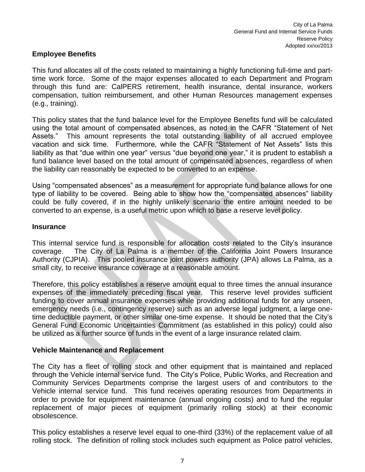#### **Employee Benefits**

This fund allocates all of the costs related to maintaining a highly functioning full-time and parttime work force. Some of the major expenses allocated to each Department and Program through this fund are: CalPERS retirement, health insurance, dental insurance, workers compensation, tuition reimbursement, and other Human Resources management expenses (e.g., training).

This policy states that the fund balance level for the Employee Benefits fund will be calculated using the total amount of compensated absences, as noted in the CAFR "Statement of Net Assets." This amount represents the total outstanding liability of all accrued employee vacation and sick time. Furthermore, while the CAFR "Statement of Net Assets" lists this liability as that "due within one year" versus "due beyond one year," it is prudent to establish a fund balance level based on the total amount of compensated absences, regardless of when the liability can reasonably be expected to be converted to an expense.

Using "compensated absences" as a measurement for appropriate fund balance allows for one type of liability to be covered. Being able to show how the "compensated absences" liability could be fully covered, if in the highly unlikely scenario the entire amount needed to be converted to an expense, is a useful metric upon which to base a reserve level policy.

#### **Insurance**

This internal service fund is responsible for allocation costs related to the City's insurance coverage. The City of La Palma is a member of the California Joint Powers Insurance Authority (CJPIA). This pooled insurance joint powers authority (JPA) allows La Palma, as a small city, to receive insurance coverage at a reasonable amount.

Therefore, this policy establishes a reserve amount equal to three times the annual insurance expenses of the immediately preceding fiscal year. This reserve level provides sufficient funding to cover annual insurance expenses while providing additional funds for any unseen, emergency needs (i.e., contingency reserve) such as an adverse legal judgment, a large onetime deductible payment, or other similar one-time expense. It should be noted that the City's General Fund Economic Uncertainties Commitment (as established in this policy) could also be utilized as a further source of funds in the event of a large insurance related claim.

#### **Vehicle Maintenance and Replacement**

The City has a fleet of rolling stock and other equipment that is maintained and replaced through the Vehicle internal service fund. The City's Police, Public Works, and Recreation and Community Services Departments comprise the largest users of and contributors to the Vehicle internal service fund. This fund receives operating resources from Departments in order to provide for equipment maintenance (annual ongoing costs) and to fund the regular replacement of major pieces of equipment (primarily rolling stock) at their economic obsolescence.

This policy establishes a reserve level equal to one-third (33%) of the replacement value of all rolling stock. The definition of rolling stock includes such equipment as Police patrol vehicles,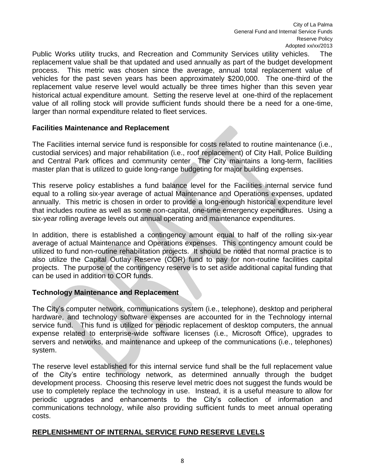City of La Palma General Fund and Internal Service Funds Reserve Policy Adopted xx/xx/2013

Public Works utility trucks, and Recreation and Community Services utility vehicles. The replacement value shall be that updated and used annually as part of the budget development process. This metric was chosen since the average, annual total replacement value of vehicles for the past seven years has been approximately \$200,000. The one-third of the replacement value reserve level would actually be three times higher than this seven year historical actual expenditure amount. Setting the reserve level at one-third of the replacement value of all rolling stock will provide sufficient funds should there be a need for a one-time, larger than normal expenditure related to fleet services.

#### **Facilities Maintenance and Replacement**

The Facilities internal service fund is responsible for costs related to routine maintenance (i.e., custodial services) and major rehabilitation (i.e., roof replacement) of City Hall, Police Building and Central Park offices and community center The City maintains a long-term, facilities master plan that is utilized to guide long-range budgeting for major building expenses.

This reserve policy establishes a fund balance level for the Facilities internal service fund equal to a rolling six-year average of actual Maintenance and Operations expenses, updated annually. This metric is chosen in order to provide a long-enough historical expenditure level that includes routine as well as some non-capital, one-time emergency expenditures. Using a six-year rolling average levels out annual operating and maintenance expenditures.

In addition, there is established a contingency amount equal to half of the rolling six-year average of actual Maintenance and Operations expenses. This contingency amount could be utilized to fund non-routine rehabilitation projects. It should be noted that normal practice is to also utilize the Capital Outlay Reserve (COR) fund to pay for non-routine facilities capital projects. The purpose of the contingency reserve is to set aside additional capital funding that can be used in addition to COR funds.

#### **Technology Maintenance and Replacement**

The City's computer network, communications system (i.e., telephone), desktop and peripheral hardware, and technology software expenses are accounted for in the Technology internal service fund. This fund is utilized for periodic replacement of desktop computers, the annual expense related to enterprise-wide software licenses (i.e., Microsoft Office), upgrades to servers and networks, and maintenance and upkeep of the communications (i.e., telephones) system.

The reserve level established for this internal service fund shall be the full replacement value of the City's entire technology network, as determined annually through the budget development process. Choosing this reserve level metric does not suggest the funds would be use to completely replace the technology in use. Instead, it is a useful measure to allow for periodic upgrades and enhancements to the City's collection of information and communications technology, while also providing sufficient funds to meet annual operating costs.

#### **REPLENISHMENT OF INTERNAL SERVICE FUND RESERVE LEVELS**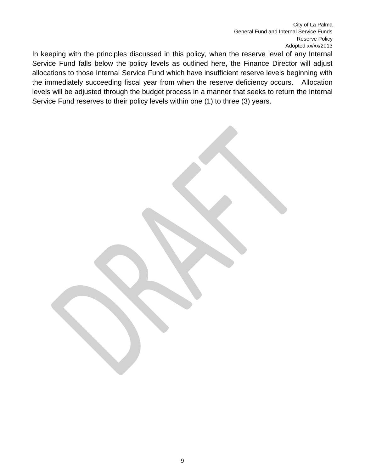City of La Palma General Fund and Internal Service Funds Reserve Policy Adopted xx/xx/2013

In keeping with the principles discussed in this policy, when the reserve level of any Internal Service Fund falls below the policy levels as outlined here, the Finance Director will adjust allocations to those Internal Service Fund which have insufficient reserve levels beginning with the immediately succeeding fiscal year from when the reserve deficiency occurs. Allocation levels will be adjusted through the budget process in a manner that seeks to return the Internal Service Fund reserves to their policy levels within one (1) to three (3) years.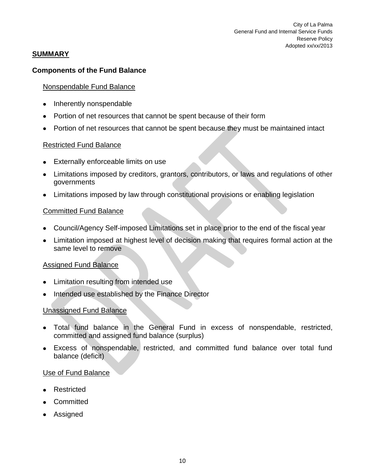#### **SUMMARY**

#### **Components of the Fund Balance**

#### Nonspendable Fund Balance

- Inherently nonspendable
- Portion of net resources that cannot be spent because of their form
- Portion of net resources that cannot be spent because they must be maintained intact

#### Restricted Fund Balance

- Externally enforceable limits on use
- Limitations imposed by creditors, grantors, contributors, or laws and regulations of other governments
- Limitations imposed by law through constitutional provisions or enabling legislation

#### Committed Fund Balance

- Council/Agency Self-imposed Limitations set in place prior to the end of the fiscal year
- Limitation imposed at highest level of decision making that requires formal action at the same level to remove

#### Assigned Fund Balance

- Limitation resulting from intended use
- Intended use established by the Finance Director

#### Unassigned Fund Balance

- Total fund balance in the General Fund in excess of nonspendable, restricted, committed and assigned fund balance (surplus)
- Excess of nonspendable, restricted, and committed fund balance over total fund balance (deficit)

#### Use of Fund Balance

- Restricted
- Committed
- Assigned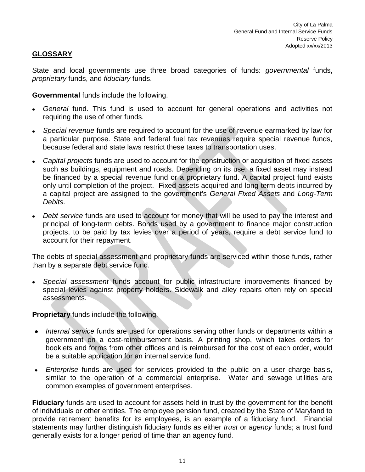# **GLOSSARY**

State and local governments use three broad categories of funds: *governmental* funds, *proprietary* funds, and *fiduciary* funds.

**Governmental** funds include the following.

- *General* fund. This fund is used to account for general operations and activities not requiring the use of other funds.
- *Special revenue* funds are required to account for the use of revenue earmarked by law for a particular purpose. State and federal fuel tax revenues require special revenue funds, because federal and state laws restrict these taxes to transportation uses.
- *Capital projects* funds are used to account for the construction or acquisition of fixed assets such as buildings, equipment and roads. Depending on its use, a fixed asset may instead be financed by a special revenue fund or a proprietary fund. A capital project fund exists only until completion of the project. Fixed assets acquired and long-term debts incurred by a capital project are assigned to the government's *General Fixed Assets* and *Long-Term Debits*.
- *Debt service* funds are used to account for money that will be used to pay the interest and principal of long-term debts. Bonds used by a government to finance major construction projects, to be paid by tax levies over a period of years, require a debt service fund to account for their repayment.

The debts of special assessment and proprietary funds are serviced within those funds, rather than by a separate debt service fund.

*Special assessment* funds account for public infrastructure improvements financed by special levies against property holders. Sidewalk and alley repairs often rely on special assessments.

**Proprietary** funds include the following.

- *Internal service* funds are used for operations serving other funds or departments within a government on a cost-reimbursement basis. A printing shop, which takes orders for booklets and forms from other offices and is reimbursed for the cost of each order, would be a suitable application for an internal service fund.
- *Enterprise* funds are used for services provided to the public on a user charge basis, similar to the operation of a commercial enterprise. Water and sewage utilities are common examples of government enterprises.

**Fiduciary** funds are used to account for assets held in trust by the government for the benefit of individuals or other entities. The employee pension fund, created by the State of Maryland to provide retirement benefits for its employees, is an example of a fiduciary fund. Financial statements may further distinguish fiduciary funds as either *trust* or *agency* funds; a trust fund generally exists for a longer period of time than an agency fund.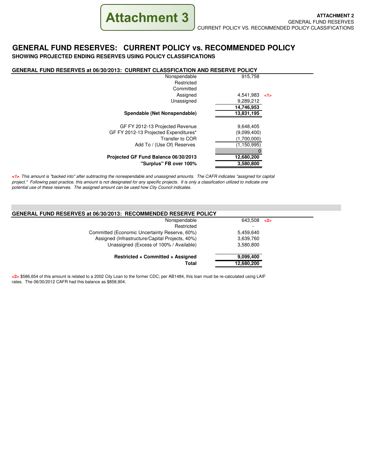

# **GENERAL FUND RESERVES: CURRENT POLICY vs. RECOMMENDED POLICY**

**SHOWING PROJECTED ENDING RESERVES USING POLICY CLASSIFICATIONS**

| GENERAL FUND RESERVES at 06/30/2013:  CURRENT CLASSFICATION AND RESERVE POLICY |                      |  |
|--------------------------------------------------------------------------------|----------------------|--|
| Nonspendable                                                                   | 915,758              |  |
| Restricted                                                                     |                      |  |
| Committed                                                                      |                      |  |
| Assigned                                                                       | $4.541.983$ $\leq 1$ |  |
| Unassigned                                                                     | 9,289,212            |  |
|                                                                                | 14,746,953           |  |
| Spendable (Net Nonspendable)                                                   | 13,831,195           |  |
| GF FY 2012-13 Projected Revenue                                                | 9,648,405            |  |
| GF FY 2012-13 Projected Expenditures*                                          | (9,099,400)          |  |
| Transfer to COR                                                                | (1,700,000)          |  |
| Add To / (Use Of) Reserves                                                     | (1, 150, 995)        |  |
|                                                                                |                      |  |
| Projected GF Fund Balance 06/30/2013                                           | 12,680,200           |  |
| "Surplus" FB over 100%                                                         | 3,580,800            |  |

**<1>** This amount is "backed into" after subtracting the nonsependable and unassigned amounts. The CAFR indicates "assigned for capital project." Following past practice, this amount is not designated for any specific projects. It is only a classfication utilized to indicate one potential use of these reserves. The assigned amount can be used how City Council indicates.

| <b>GENERAL FUND RESERVES at 06/30/2013: RECOMMENDED RESERVE POLICY</b> |             |  |
|------------------------------------------------------------------------|-------------|--|
| Nonspendable                                                           | 643,508 < 2 |  |
| Restricted                                                             |             |  |
| Committed (Economic Uncertainty Reserve, 60%)                          | 5.459.640   |  |
| Assigned (Infrastructure/Capital Projects, 40%)                        | 3,639,760   |  |
| Unassigned (Excess of 100% / Available)                                | 3,580,800   |  |
| <b>Restricted + Committed + Assigned</b>                               | 9.099.400   |  |
| Total                                                                  | 12.680.200  |  |

**<2>** \$586,654 of this amount is related to a 2002 City Loan to the former CDC; per AB1484, this loan must be re-calculated using LAIF rates. The 06/30/2012 CAFR had this balance as \$858,904.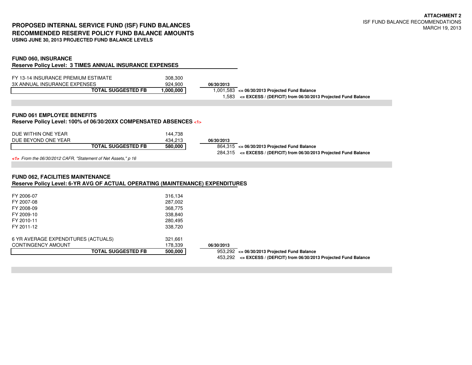#### **PROPOSED INTERNAL SERVICE FUND (ISF) FUND BALANCES RECOMMENDED RESERVE POLICY FUND BALANCE AMOUNTSUSING JUNE 30, 2013 PROJECTED FUND BALANCE LEVELS**

| <b>FUND 060, INSURANCE</b><br><b>Reserve Policy Level: 3 TIMES ANNUAL INSURANCE EXPENSES</b>           |                           |                                 |                     |                                                                                                                |
|--------------------------------------------------------------------------------------------------------|---------------------------|---------------------------------|---------------------|----------------------------------------------------------------------------------------------------------------|
| FY 13-14 INSURANCE PREMIUM ESTIMATE<br>3X ANNUAL INSURANCE EXPENSES                                    | <b>TOTAL SUGGESTED FB</b> | 308,300<br>924,900<br>1,000,000 | 06/30/2013<br>1.583 | 1.001.583 <= 06/30/2013 Projected Fund Balance<br><= EXCESS / (DEFICIT) from 06/30/2013 Projected Fund Balance |
|                                                                                                        |                           |                                 |                     |                                                                                                                |
| <b>FUND 061 EMPLOYEE BENEFITS</b><br>Reserve Policy Level: 100% of 06/30/20XX COMPENSATED ABSENCES <1> |                           |                                 |                     |                                                                                                                |
| DUE WITHIN ONE YEAR                                                                                    |                           | 144,738                         |                     |                                                                                                                |
| DUE BEYOND ONE YEAR                                                                                    |                           | 434.213                         | 06/30/2013          |                                                                                                                |
|                                                                                                        | <b>TOTAL SUGGESTED FB</b> | 580,000                         |                     | 864,315 <= 06/30/2013 Projected Fund Balance                                                                   |

284,315 **<= EXCESS / (DEFICIT) from 06/30/2013 Projected Fund Balance**

**<1>** From the 06/30/2012 CAFR, "Statement of Net Assets," p 16

| <b>FUND 062, FACILITIES MAINTENANCE</b>                                       |  |
|-------------------------------------------------------------------------------|--|
| Reserve Policy Level: 6-YR AVG OF ACTUAL OPERATING (MAINTENANCE) EXPENDITURES |  |

| FY 2006-07                          | 316,134 |                                                                         |
|-------------------------------------|---------|-------------------------------------------------------------------------|
| FY 2007-08                          | 287,002 |                                                                         |
| FY 2008-09                          | 368,775 |                                                                         |
| FY 2009-10                          | 338,840 |                                                                         |
| FY 2010-11                          | 280,495 |                                                                         |
| FY 2011-12                          | 338,720 |                                                                         |
| 6 YR AVERAGE EXPENDITURES (ACTUALS) | 321,661 |                                                                         |
| CONTINGENCY AMOUNT                  | 178,339 | 06/30/2013                                                              |
| <b>TOTAL SUGGESTED FB</b>           | 500,000 | 953,292 <= 06/30/2013 Projected Fund Balance                            |
|                                     |         | <= EXCESS / (DEFICIT) from 06/30/2013 Projected Fund Balance<br>453.292 |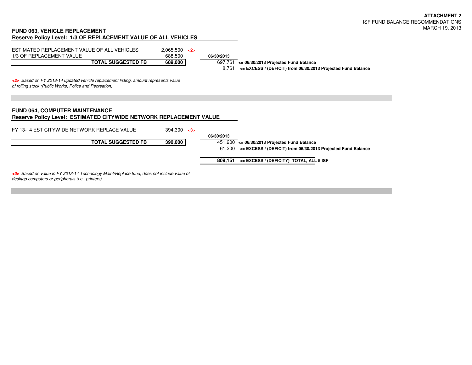#### **ATTACHMENT 2** ISF FUND BALANCE RECOMMENDATIONSMARCH 19, 2013

| <b>FUND 063, VEHICLE REPLACEMENT</b><br><b>Reserve Policy Level: 1/3 OF REPLACEMENT VALUE OF ALL VEHICLES</b>                                  |                                     |  |                     |                                                                                                                          |
|------------------------------------------------------------------------------------------------------------------------------------------------|-------------------------------------|--|---------------------|--------------------------------------------------------------------------------------------------------------------------|
| ESTIMATED REPLACEMENT VALUE OF ALL VEHICLES<br>1/3 OF REPLACEMENT VALUE<br><b>TOTAL SUGGESTED FB</b>                                           | 2,065,500 < 2<br>688,500<br>689,000 |  | 06/30/2013<br>8.761 | 697,761 <= 06/30/2013 Projected Fund Balance<br><= EXCESS / (DEFICIT) from 06/30/2013 Projected Fund Balance             |
| -2> Based on FY 2013-14 updated vehicle replacement listing, amount represents value<br>of rolling stock (Public Works, Police and Recreation) |                                     |  |                     |                                                                                                                          |
| <b>FUND 064, COMPUTER MAINTENANCE</b><br><b>Reserve Policy Level: ESTIMATED CITYWIDE NETWORK REPLACEMENT VALUE</b>                             |                                     |  |                     |                                                                                                                          |
| FY 13-14 EST CITYWIDE NETWORK REPLACE VALUE                                                                                                    | 394,300 < 3                         |  | 06/30/2013          |                                                                                                                          |
| <b>TOTAL SUGGESTED FB</b>                                                                                                                      | 390,000                             |  |                     | $451,200 \le 06/30/2013$ Projected Fund Balance<br>$61,200$ <= EXCESS / (DEFICIT) from 06/30/2013 Projected Fund Balance |
|                                                                                                                                                |                                     |  |                     | $809,151 \leq$ = EXCESS / (DEFICITY) TOTAL, ALL 5 ISF                                                                    |
| Based on value in FY 2013-14 Technology Maint/Replace fund; does not include value of                                                          |                                     |  |                     |                                                                                                                          |

desktop computers or peripherals (i.e., printers)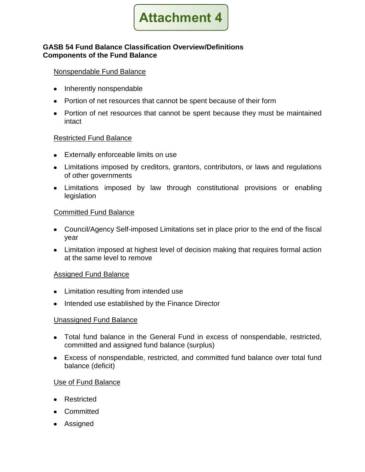

#### **GASB 54 Fund Balance Classification Overview/Definitions Components of the Fund Balance**

#### Nonspendable Fund Balance

- Inherently nonspendable
- Portion of net resources that cannot be spent because of their form
- Portion of net resources that cannot be spent because they must be maintained intact

#### Restricted Fund Balance

- Externally enforceable limits on use
- Limitations imposed by creditors, grantors, contributors, or laws and regulations of other governments
- Limitations imposed by law through constitutional provisions or enabling legislation

#### Committed Fund Balance

- Council/Agency Self-imposed Limitations set in place prior to the end of the fiscal year
- Limitation imposed at highest level of decision making that requires formal action at the same level to remove

#### Assigned Fund Balance

- Limitation resulting from intended use
- Intended use established by the Finance Director

#### Unassigned Fund Balance

- Total fund balance in the General Fund in excess of nonspendable, restricted, committed and assigned fund balance (surplus)
- Excess of nonspendable, restricted, and committed fund balance over total fund balance (deficit)

#### Use of Fund Balance

- Restricted
- Committed
- Assigned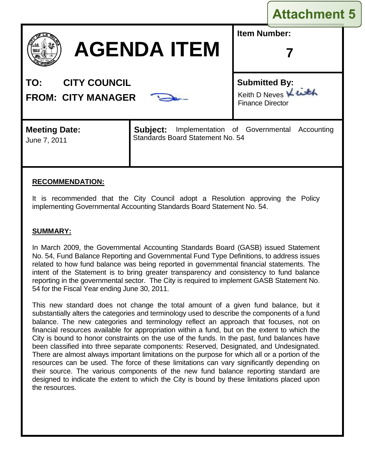# **Attachment 5**



# **AGENDA ITEM**

# **Item Number:**

**7**

**TO: CITY COUNCIL**

**FROM: CITY MANAGER**



**Submitted By:** Keith D Neves Finance Director

# **Meeting Date:** Subject:

June 7, 2011

Implementation of Governmental Accounting Standards Board Statement No. 54

# **RECOMMENDATION:**

It is recommended that the City Council adopt a Resolution approving the Policy implementing Governmental Accounting Standards Board Statement No. 54.

#### **SUMMARY:**

In March 2009, the Governmental Accounting Standards Board (GASB) issued Statement No. 54, Fund Balance Reporting and Governmental Fund Type Definitions, to address issues related to how fund balance was being reported in governmental financial statements. The intent of the Statement is to bring greater transparency and consistency to fund balance reporting in the governmental sector. The City is required to implement GASB Statement No. 54 for the Fiscal Year ending June 30, 2011.

This new standard does not change the total amount of a given fund balance, but it substantially alters the categories and terminology used to describe the components of a fund balance. The new categories and terminology reflect an approach that focuses, not on financial resources available for appropriation within a fund, but on the extent to which the City is bound to honor constraints on the use of the funds. In the past, fund balances have been classified into three separate components: Reserved, Designated, and Undesignated. There are almost always important limitations on the purpose for which all or a portion of the resources can be used. The force of these limitations can vary significantly depending on their source. The various components of the new fund balance reporting standard are designed to indicate the extent to which the City is bound by these limitations placed upon the resources.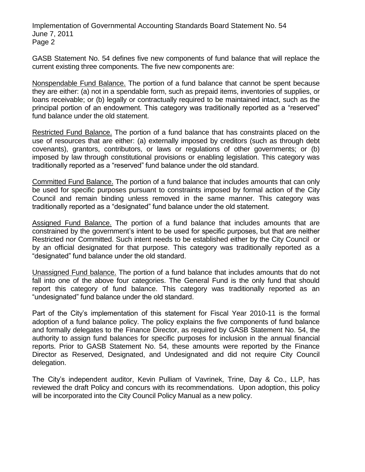Implementation of Governmental Accounting Standards Board Statement No. 54 June 7, 2011 Page 2

GASB Statement No. 54 defines five new components of fund balance that will replace the current existing three components. The five new components are:

Nonspendable Fund Balance. The portion of a fund balance that cannot be spent because they are either: (a) not in a spendable form, such as prepaid items, inventories of supplies, or loans receivable; or (b) legally or contractually required to be maintained intact, such as the principal portion of an endowment. This category was traditionally reported as a "reserved" fund balance under the old statement.

Restricted Fund Balance. The portion of a fund balance that has constraints placed on the use of resources that are either: (a) externally imposed by creditors (such as through debt covenants), grantors, contributors, or laws or regulations of other governments; or (b) imposed by law through constitutional provisions or enabling legislation. This category was traditionally reported as a "reserved" fund balance under the old standard.

Committed Fund Balance. The portion of a fund balance that includes amounts that can only be used for specific purposes pursuant to constraints imposed by formal action of the City Council and remain binding unless removed in the same manner. This category was traditionally reported as a "designated" fund balance under the old statement.

Assigned Fund Balance. The portion of a fund balance that includes amounts that are constrained by the government's intent to be used for specific purposes, but that are neither Restricted nor Committed. Such intent needs to be established either by the City Council or by an official designated for that purpose. This category was traditionally reported as a "designated" fund balance under the old standard.

Unassigned Fund balance. The portion of a fund balance that includes amounts that do not fall into one of the above four categories. The General Fund is the only fund that should report this category of fund balance. This category was traditionally reported as an "undesignated" fund balance under the old standard.

Part of the City's implementation of this statement for Fiscal Year 2010-11 is the formal adoption of a fund balance policy. The policy explains the five components of fund balance and formally delegates to the Finance Director, as required by GASB Statement No. 54, the authority to assign fund balances for specific purposes for inclusion in the annual financial reports. Prior to GASB Statement No. 54, these amounts were reported by the Finance Director as Reserved, Designated, and Undesignated and did not require City Council delegation.

The City's independent auditor, Kevin Pulliam of Vavrinek, Trine, Day & Co., LLP, has reviewed the draft Policy and concurs with its recommendations. Upon adoption, this policy will be incorporated into the City Council Policy Manual as a new policy.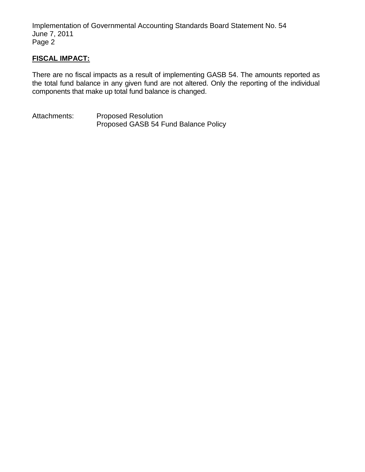Implementation of Governmental Accounting Standards Board Statement No. 54 June 7, 2011 Page 2

#### **FISCAL IMPACT:**

There are no fiscal impacts as a result of implementing GASB 54. The amounts reported as the total fund balance in any given fund are not altered. Only the reporting of the individual components that make up total fund balance is changed.

Attachments: Proposed Resolution Proposed GASB 54 Fund Balance Policy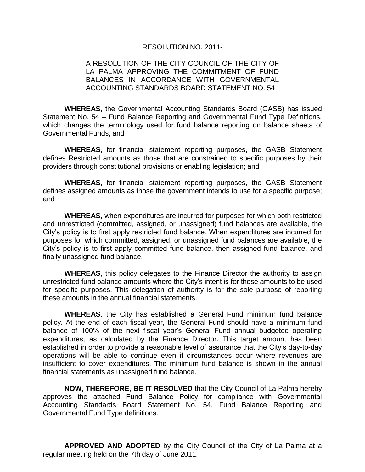#### RESOLUTION NO. 2011-

#### A RESOLUTION OF THE CITY COUNCIL OF THE CITY OF LA PALMA APPROVING THE COMMITMENT OF FUND BALANCES IN ACCORDANCE WITH GOVERNMENTAL ACCOUNTING STANDARDS BOARD STATEMENT NO. 54

**WHEREAS**, the Governmental Accounting Standards Board (GASB) has issued Statement No. 54 – Fund Balance Reporting and Governmental Fund Type Definitions, which changes the terminology used for fund balance reporting on balance sheets of Governmental Funds, and

**WHEREAS**, for financial statement reporting purposes, the GASB Statement defines Restricted amounts as those that are constrained to specific purposes by their providers through constitutional provisions or enabling legislation; and

**WHEREAS**, for financial statement reporting purposes, the GASB Statement defines assigned amounts as those the government intends to use for a specific purpose; and

**WHEREAS**, when expenditures are incurred for purposes for which both restricted and unrestricted (committed, assigned, or unassigned) fund balances are available, the City's policy is to first apply restricted fund balance. When expenditures are incurred for purposes for which committed, assigned, or unassigned fund balances are available, the City's policy is to first apply committed fund balance, then assigned fund balance, and finally unassigned fund balance.

**WHEREAS**, this policy delegates to the Finance Director the authority to assign unrestricted fund balance amounts where the City's intent is for those amounts to be used for specific purposes. This delegation of authority is for the sole purpose of reporting these amounts in the annual financial statements.

**WHEREAS**, the City has established a General Fund minimum fund balance policy. At the end of each fiscal year, the General Fund should have a minimum fund balance of 100% of the next fiscal year's General Fund annual budgeted operating expenditures, as calculated by the Finance Director. This target amount has been established in order to provide a reasonable level of assurance that the City's day-to-day operations will be able to continue even if circumstances occur where revenues are insufficient to cover expenditures. The minimum fund balance is shown in the annual financial statements as unassigned fund balance.

**NOW, THEREFORE, BE IT RESOLVED** that the City Council of La Palma hereby approves the attached Fund Balance Policy for compliance with Governmental Accounting Standards Board Statement No. 54, Fund Balance Reporting and Governmental Fund Type definitions.

**APPROVED AND ADOPTED** by the City Council of the City of La Palma at a regular meeting held on the 7th day of June 2011.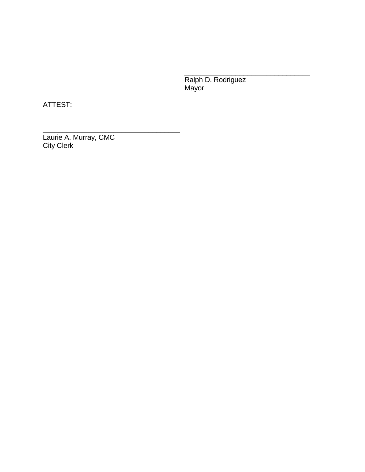Ralph D. Rodriguez Mayor

\_\_\_\_\_\_\_\_\_\_\_\_\_\_\_\_\_\_\_\_\_\_\_\_\_\_\_\_\_\_\_\_

ATTEST:

Laurie A. Murray, CMC City Clerk

\_\_\_\_\_\_\_\_\_\_\_\_\_\_\_\_\_\_\_\_\_\_\_\_\_\_\_\_\_\_\_\_\_\_\_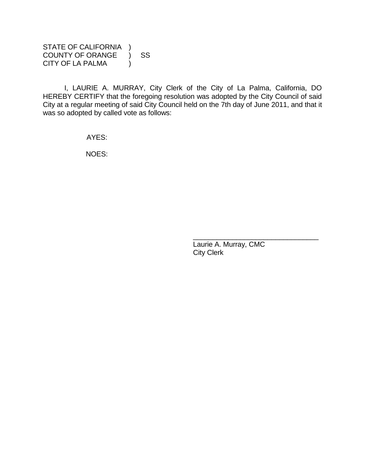STATE OF CALIFORNIA ) COUNTY OF ORANGE ) SS CITY OF LA PALMA (1)

I, LAURIE A. MURRAY, City Clerk of the City of La Palma, California, DO HEREBY CERTIFY that the foregoing resolution was adopted by the City Council of said City at a regular meeting of said City Council held on the 7th day of June 2011, and that it was so adopted by called vote as follows:

AYES:

NOES:

Laurie A. Murray, CMC City Clerk

\_\_\_\_\_\_\_\_\_\_\_\_\_\_\_\_\_\_\_\_\_\_\_\_\_\_\_\_\_\_\_\_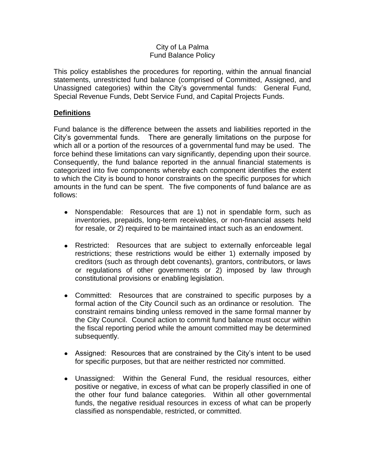#### City of La Palma Fund Balance Policy

This policy establishes the procedures for reporting, within the annual financial statements, unrestricted fund balance (comprised of Committed, Assigned, and Unassigned categories) within the City's governmental funds: General Fund, Special Revenue Funds, Debt Service Fund, and Capital Projects Funds.

#### **Definitions**

Fund balance is the difference between the assets and liabilities reported in the City's governmental funds. There are generally limitations on the purpose for which all or a portion of the resources of a governmental fund may be used. The force behind these limitations can vary significantly, depending upon their source. Consequently, the fund balance reported in the annual financial statements is categorized into five components whereby each component identifies the extent to which the City is bound to honor constraints on the specific purposes for which amounts in the fund can be spent. The five components of fund balance are as follows:

- Nonspendable: Resources that are 1) not in spendable form, such as inventories, prepaids, long-term receivables, or non-financial assets held for resale, or 2) required to be maintained intact such as an endowment.
- Restricted: Resources that are subject to externally enforceable legal restrictions; these restrictions would be either 1) externally imposed by creditors (such as through debt covenants), grantors, contributors, or laws or regulations of other governments or 2) imposed by law through constitutional provisions or enabling legislation.
- Committed: Resources that are constrained to specific purposes by a formal action of the City Council such as an ordinance or resolution. The constraint remains binding unless removed in the same formal manner by the City Council. Council action to commit fund balance must occur within the fiscal reporting period while the amount committed may be determined subsequently.
- Assigned: Resources that are constrained by the City's intent to be used for specific purposes, but that are neither restricted nor committed.
- Unassigned: Within the General Fund, the residual resources, either positive or negative, in excess of what can be properly classified in one of the other four fund balance categories. Within all other governmental funds, the negative residual resources in excess of what can be properly classified as nonspendable, restricted, or committed.